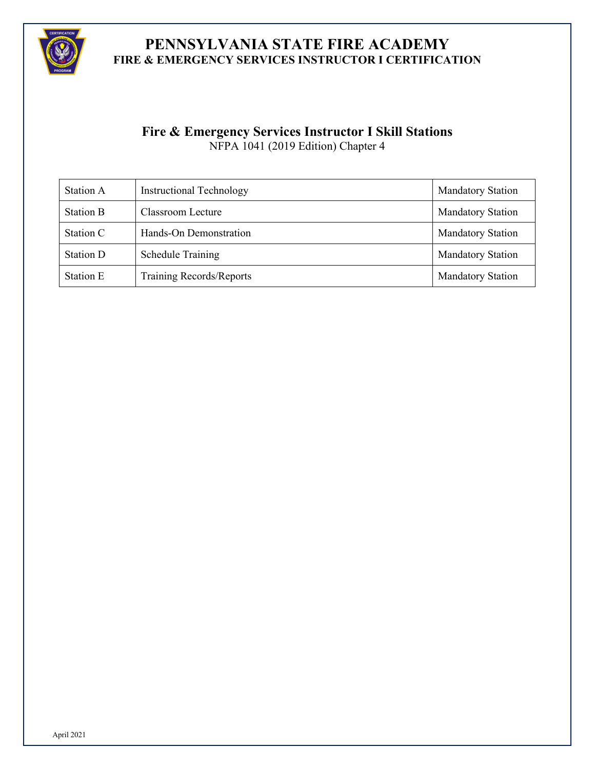

# **Fire & Emergency Services Instructor I Skill Stations**

NFPA 1041 (2019 Edition) Chapter 4

| Station A        | <b>Instructional Technology</b> | <b>Mandatory Station</b> |
|------------------|---------------------------------|--------------------------|
| <b>Station B</b> | Classroom Lecture               | <b>Mandatory Station</b> |
| Station C        | Hands-On Demonstration          | <b>Mandatory Station</b> |
| Station D        | <b>Schedule Training</b>        | <b>Mandatory Station</b> |
| Station E        | Training Records/Reports        | <b>Mandatory Station</b> |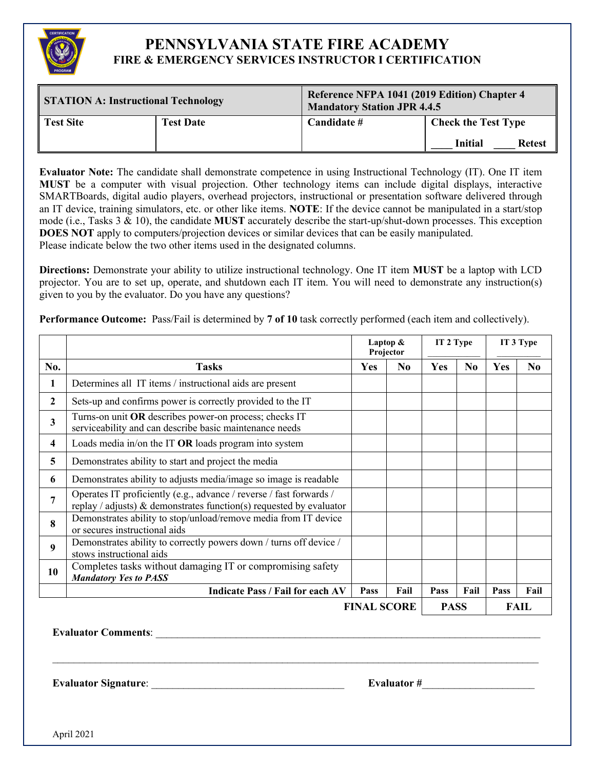

| <b>STATION A: Instructional Technology</b> |                  | Reference NFPA 1041 (2019 Edition) Chapter 4<br><b>Mandatory Station JPR 4.4.5</b> |                                 |  |  |
|--------------------------------------------|------------------|------------------------------------------------------------------------------------|---------------------------------|--|--|
| <b>Test Site</b>                           | <b>Test Date</b> | Candidate #                                                                        | <b>Check the Test Type</b>      |  |  |
|                                            |                  |                                                                                    | <b>Initial</b><br><b>Retest</b> |  |  |

**Evaluator Note:** The candidate shall demonstrate competence in using Instructional Technology (IT). One IT item **MUST** be a computer with visual projection. Other technology items can include digital displays, interactive SMARTBoards, digital audio players, overhead projectors, instructional or presentation software delivered through an IT device, training simulators, etc. or other like items. **NOTE**: If the device cannot be manipulated in a start/stop mode (i.e., Tasks 3 & 10), the candidate **MUST** accurately describe the start-up/shut-down processes. This exception **DOES NOT** apply to computers/projection devices or similar devices that can be easily manipulated. Please indicate below the two other items used in the designated columns.

**Directions:** Demonstrate your ability to utilize instructional technology. One IT item **MUST** be a laptop with LCD projector. You are to set up, operate, and shutdown each IT item. You will need to demonstrate any instruction(s) given to you by the evaluator. Do you have any questions?

**Performance Outcome:** Pass/Fail is determined by **7 of 10** task correctly performed (each item and collectively).

|                  |                                                                                                                                            | Laptop &<br>Projector |                | IT 2 Type   |          | IT 3 Type |                |
|------------------|--------------------------------------------------------------------------------------------------------------------------------------------|-----------------------|----------------|-------------|----------|-----------|----------------|
| No.              | <b>Tasks</b>                                                                                                                               | Yes                   | N <sub>0</sub> | <b>Yes</b>  | $\bf No$ | Yes       | N <sub>0</sub> |
| 1                | Determines all IT items / instructional aids are present                                                                                   |                       |                |             |          |           |                |
| $\boldsymbol{2}$ | Sets-up and confirms power is correctly provided to the IT                                                                                 |                       |                |             |          |           |                |
| 3                | Turns-on unit OR describes power-on process; checks IT<br>serviceability and can describe basic maintenance needs                          |                       |                |             |          |           |                |
| 4                | Loads media in/on the IT OR loads program into system                                                                                      |                       |                |             |          |           |                |
| 5                | Demonstrates ability to start and project the media                                                                                        |                       |                |             |          |           |                |
| 6                | Demonstrates ability to adjusts media/image so image is readable                                                                           |                       |                |             |          |           |                |
| 7                | Operates IT proficiently (e.g., advance / reverse / fast forwards /<br>replay / adjusts) & demonstrates function(s) requested by evaluator |                       |                |             |          |           |                |
| $\mathbf{8}$     | Demonstrates ability to stop/unload/remove media from IT device<br>or secures instructional aids                                           |                       |                |             |          |           |                |
| 9                | Demonstrates ability to correctly powers down / turns off device /<br>stows instructional aids                                             |                       |                |             |          |           |                |
| 10               | Completes tasks without damaging IT or compromising safety<br><b>Mandatory Yes to PASS</b>                                                 |                       |                |             |          |           |                |
|                  | <b>Indicate Pass / Fail for each AV</b>                                                                                                    | Pass                  | Fail           | Pass        | Fail     | Pass      | Fail           |
|                  | <b>FINAL SCORE</b>                                                                                                                         |                       |                | <b>PASS</b> |          |           | FAIL           |

 $\_$  , and the set of the set of the set of the set of the set of the set of the set of the set of the set of the set of the set of the set of the set of the set of the set of the set of the set of the set of the set of th

**Evaluator Comments:**  $\blacksquare$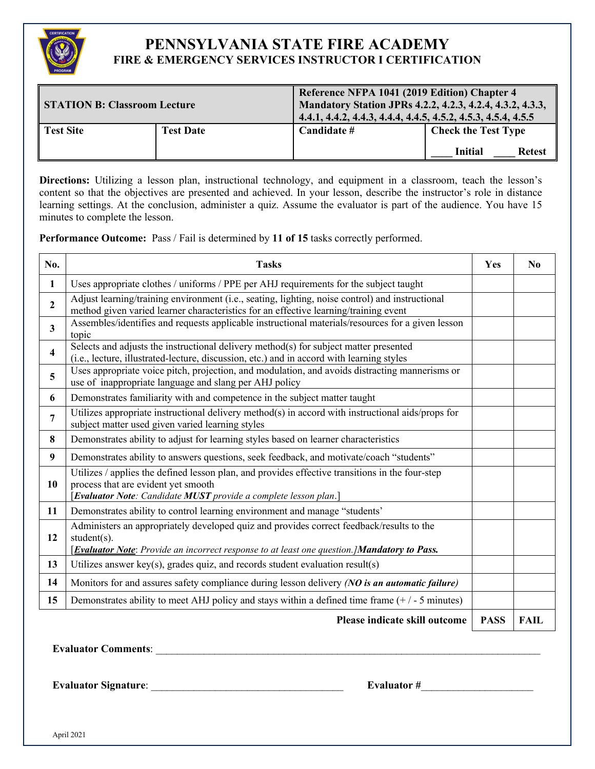

| <b>STATION B: Classroom Lecture</b> |                  |             | Reference NFPA 1041 (2019 Edition) Chapter 4<br>Mandatory Station JPRs 4.2.2, 4.2.3, 4.2.4, 4.3.2, 4.3.3,<br>4.4.1, 4.4.2, 4.4.3, 4.4.4, 4.4.5, 4.5.2, 4.5.3, 4.5.4, 4.5.5 |  |  |
|-------------------------------------|------------------|-------------|----------------------------------------------------------------------------------------------------------------------------------------------------------------------------|--|--|
| Test Site                           | <b>Test Date</b> | Candidate # | <b>Check the Test Type</b><br><b>Initial</b><br><b>Retest</b>                                                                                                              |  |  |

Directions: Utilizing a lesson plan, instructional technology, and equipment in a classroom, teach the lesson's content so that the objectives are presented and achieved. In your lesson, describe the instructor's role in distance learning settings. At the conclusion, administer a quiz. Assume the evaluator is part of the audience. You have 15 minutes to complete the lesson.

**Performance Outcome:** Pass / Fail is determined by **11 of 15** tasks correctly performed.

| No.            | <b>Tasks</b>                                                                                                                                                                                               | Yes         | N <sub>0</sub> |
|----------------|------------------------------------------------------------------------------------------------------------------------------------------------------------------------------------------------------------|-------------|----------------|
| $\mathbf{1}$   | Uses appropriate clothes / uniforms / PPE per AHJ requirements for the subject taught                                                                                                                      |             |                |
| $\overline{2}$ | Adjust learning/training environment (i.e., seating, lighting, noise control) and instructional<br>method given varied learner characteristics for an effective learning/training event                    |             |                |
| 3              | Assembles/identifies and requests applicable instructional materials/resources for a given lesson<br>topic                                                                                                 |             |                |
| 4              | Selects and adjusts the instructional delivery method(s) for subject matter presented<br>(i.e., lecture, illustrated-lecture, discussion, etc.) and in accord with learning styles                         |             |                |
| 5              | Uses appropriate voice pitch, projection, and modulation, and avoids distracting mannerisms or<br>use of inappropriate language and slang per AHJ policy                                                   |             |                |
| 6              | Demonstrates familiarity with and competence in the subject matter taught                                                                                                                                  |             |                |
| 7              | Utilizes appropriate instructional delivery method(s) in accord with instructional aids/props for<br>subject matter used given varied learning styles                                                      |             |                |
| 8              | Demonstrates ability to adjust for learning styles based on learner characteristics                                                                                                                        |             |                |
| 9              | Demonstrates ability to answers questions, seek feedback, and motivate/coach "students"                                                                                                                    |             |                |
| 10             | Utilizes / applies the defined lesson plan, and provides effective transitions in the four-step<br>process that are evident yet smooth<br>[Evaluator Note: Candidate MUST provide a complete lesson plan.] |             |                |
| 11             | Demonstrates ability to control learning environment and manage "students'                                                                                                                                 |             |                |
| 12             | Administers an appropriately developed quiz and provides correct feedback/results to the<br>$student(s)$ .<br>[Evaluator Note: Provide an incorrect response to at least one question.] Mandatory to Pass. |             |                |
| 13             | Utilizes answer key(s), grades quiz, and records student evaluation result(s)                                                                                                                              |             |                |
| 14             | Monitors for and assures safety compliance during lesson delivery (NO is an automatic failure)                                                                                                             |             |                |
| 15             | Demonstrates ability to meet AHJ policy and stays within a defined time frame $(+/-5$ minutes)                                                                                                             |             |                |
|                | Please indicate skill outcome                                                                                                                                                                              | <b>PASS</b> | <b>FAIL</b>    |

**Evaluator Comments:**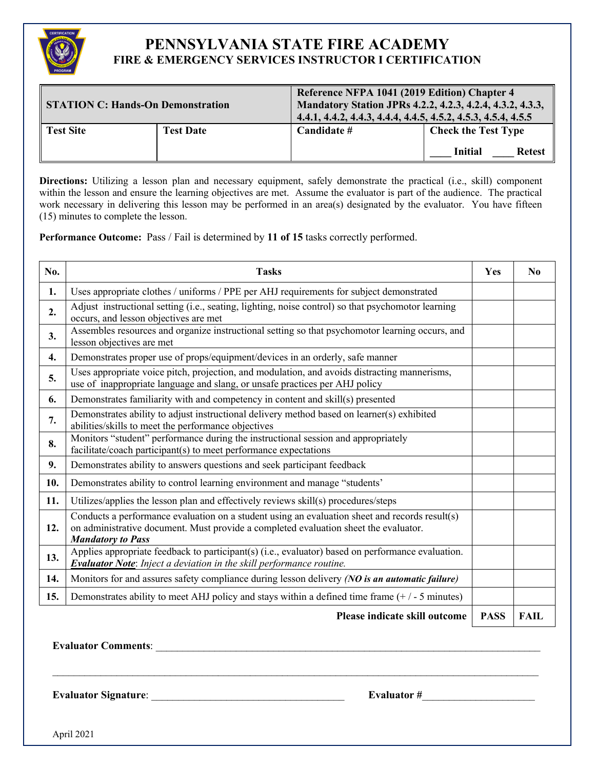

| <b>STATION C: Hands-On Demonstration</b> |                  | Reference NFPA 1041 (2019 Edition) Chapter 4<br>Mandatory Station JPRs 4.2.2, 4.2.3, 4.2.4, 4.3.2, 4.3.3,<br>4.4.1, 4.4.2, 4.4.3, 4.4.4, 4.4.5, 4.5.2, 4.5.3, 4.5.4, 4.5.5 |  |  |
|------------------------------------------|------------------|----------------------------------------------------------------------------------------------------------------------------------------------------------------------------|--|--|
| <b>Test Site</b>                         | <b>Test Date</b> | <b>Check the Test Type</b><br>Candidate #<br><b>Initial</b><br><b>Retest</b>                                                                                               |  |  |

**Directions:** Utilizing a lesson plan and necessary equipment, safely demonstrate the practical (i.e., skill) component within the lesson and ensure the learning objectives are met. Assume the evaluator is part of the audience. The practical work necessary in delivering this lesson may be performed in an area(s) designated by the evaluator. You have fifteen (15) minutes to complete the lesson.

**Performance Outcome:** Pass / Fail is determined by **11 of 15** tasks correctly performed.

| No. | <b>Tasks</b>                                                                                                                                                                                                       | Yes         | N <sub>0</sub> |
|-----|--------------------------------------------------------------------------------------------------------------------------------------------------------------------------------------------------------------------|-------------|----------------|
| 1.  | Uses appropriate clothes / uniforms / PPE per AHJ requirements for subject demonstrated                                                                                                                            |             |                |
| 2.  | Adjust instructional setting (i.e., seating, lighting, noise control) so that psychomotor learning<br>occurs, and lesson objectives are met                                                                        |             |                |
| 3.  | Assembles resources and organize instructional setting so that psychomotor learning occurs, and<br>lesson objectives are met                                                                                       |             |                |
| 4.  | Demonstrates proper use of props/equipment/devices in an orderly, safe manner                                                                                                                                      |             |                |
| 5.  | Uses appropriate voice pitch, projection, and modulation, and avoids distracting mannerisms,<br>use of inappropriate language and slang, or unsafe practices per AHJ policy                                        |             |                |
| 6.  | Demonstrates familiarity with and competency in content and skill(s) presented                                                                                                                                     |             |                |
| 7.  | Demonstrates ability to adjust instructional delivery method based on learner(s) exhibited<br>abilities/skills to meet the performance objectives                                                                  |             |                |
| 8.  | Monitors "student" performance during the instructional session and appropriately<br>facilitate/coach participant(s) to meet performance expectations                                                              |             |                |
| 9.  | Demonstrates ability to answers questions and seek participant feedback                                                                                                                                            |             |                |
| 10. | Demonstrates ability to control learning environment and manage "students'                                                                                                                                         |             |                |
| 11. | Utilizes/applies the lesson plan and effectively reviews skill(s) procedures/steps                                                                                                                                 |             |                |
| 12. | Conducts a performance evaluation on a student using an evaluation sheet and records result(s)<br>on administrative document. Must provide a completed evaluation sheet the evaluator.<br><b>Mandatory to Pass</b> |             |                |
| 13. | Applies appropriate feedback to participant(s) (i.e., evaluator) based on performance evaluation.<br><b>Evaluator Note:</b> Inject a deviation in the skill performance routine.                                   |             |                |
| 14. | Monitors for and assures safety compliance during lesson delivery (NO is an automatic failure)                                                                                                                     |             |                |
| 15. | Demonstrates ability to meet AHJ policy and stays within a defined time frame $(+/-5$ minutes)                                                                                                                     |             |                |
|     | Please indicate skill outcome                                                                                                                                                                                      | <b>PASS</b> | <b>FAIL</b>    |

\_\_\_\_\_\_\_\_\_\_\_\_\_\_\_\_\_\_\_\_\_\_\_\_\_\_\_\_\_\_\_\_\_\_\_\_\_\_\_\_\_\_\_\_\_\_\_\_\_\_\_\_\_\_\_\_\_\_\_\_\_\_\_\_\_\_\_\_\_\_\_\_\_\_\_\_\_\_\_\_\_\_\_\_\_\_\_\_\_\_\_

**Evaluator Comments:** 

**Evaluator Signature**: \_\_\_\_\_\_\_\_\_\_\_\_\_\_\_\_\_\_\_\_\_\_\_\_\_\_\_\_\_\_\_\_\_\_\_\_ **Evaluator #**\_\_\_\_\_\_\_\_\_\_\_\_\_\_\_\_\_\_\_\_\_

April 2021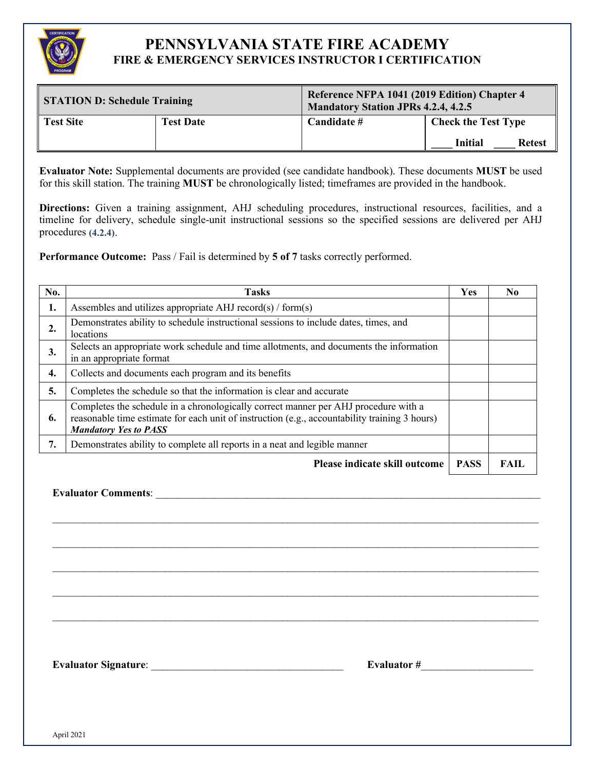

| <b>STATION D: Schedule Training</b> |                  | Reference NFPA 1041 (2019 Edition) Chapter 4<br><b>Mandatory Station JPRs 4.2.4, 4.2.5</b> |                                 |  |  |
|-------------------------------------|------------------|--------------------------------------------------------------------------------------------|---------------------------------|--|--|
| <b>Test Site</b>                    | <b>Test Date</b> | Candidate #                                                                                | <b>Check the Test Type</b>      |  |  |
|                                     |                  |                                                                                            | <b>Initial</b><br><b>Retest</b> |  |  |

**Evaluator Note:** Supplemental documents are provided (see candidate handbook). These documents **MUST** be used for this skill station. The training **MUST** be chronologically listed; timeframes are provided in the handbook.

**Directions:** Given a training assignment, AHJ scheduling procedures, instructional resources, facilities, and a timeline for delivery, schedule single-unit instructional sessions so the specified sessions are delivered per AHJ procedures **(4.2.4)**.

**Performance Outcome:** Pass / Fail is determined by **5 of 7** tasks correctly performed.

| No. | <b>Tasks</b>                                                                                                                                                                                                         | <b>Yes</b>  | N <sub>0</sub> |
|-----|----------------------------------------------------------------------------------------------------------------------------------------------------------------------------------------------------------------------|-------------|----------------|
| 1.  | Assembles and utilizes appropriate AHJ record(s) / form(s)                                                                                                                                                           |             |                |
| 2.  | Demonstrates ability to schedule instructional sessions to include dates, times, and<br>locations                                                                                                                    |             |                |
| 3.  | Selects an appropriate work schedule and time allotments, and documents the information<br>in an appropriate format                                                                                                  |             |                |
| 4.  | Collects and documents each program and its benefits                                                                                                                                                                 |             |                |
| 5.  | Completes the schedule so that the information is clear and accurate                                                                                                                                                 |             |                |
| 6.  | Completes the schedule in a chronologically correct manner per AHJ procedure with a<br>reasonable time estimate for each unit of instruction (e.g., accountability training 3 hours)<br><b>Mandatory Yes to PASS</b> |             |                |
| 7.  | Demonstrates ability to complete all reports in a neat and legible manner                                                                                                                                            |             |                |
|     | Please indicate skill outcome                                                                                                                                                                                        | <b>PASS</b> | <b>FAIL</b>    |

 $\_$ 

 $\mathcal{L}_\mathcal{L} = \mathcal{L}_\mathcal{L} = \mathcal{L}_\mathcal{L} = \mathcal{L}_\mathcal{L} = \mathcal{L}_\mathcal{L} = \mathcal{L}_\mathcal{L} = \mathcal{L}_\mathcal{L} = \mathcal{L}_\mathcal{L} = \mathcal{L}_\mathcal{L} = \mathcal{L}_\mathcal{L} = \mathcal{L}_\mathcal{L} = \mathcal{L}_\mathcal{L} = \mathcal{L}_\mathcal{L} = \mathcal{L}_\mathcal{L} = \mathcal{L}_\mathcal{L} = \mathcal{L}_\mathcal{L} = \mathcal{L}_\mathcal{L}$ 

\_\_\_\_\_\_\_\_\_\_\_\_\_\_\_\_\_\_\_\_\_\_\_\_\_\_\_\_\_\_\_\_\_\_\_\_\_\_\_\_\_\_\_\_\_\_\_\_\_\_\_\_\_\_\_\_\_\_\_\_\_\_\_\_\_\_\_\_\_\_\_\_\_\_\_\_\_\_\_\_\_\_\_\_\_\_\_\_\_\_\_

 $\mathcal{L}_\mathcal{L} = \mathcal{L}_\mathcal{L} = \mathcal{L}_\mathcal{L} = \mathcal{L}_\mathcal{L} = \mathcal{L}_\mathcal{L} = \mathcal{L}_\mathcal{L} = \mathcal{L}_\mathcal{L} = \mathcal{L}_\mathcal{L} = \mathcal{L}_\mathcal{L} = \mathcal{L}_\mathcal{L} = \mathcal{L}_\mathcal{L} = \mathcal{L}_\mathcal{L} = \mathcal{L}_\mathcal{L} = \mathcal{L}_\mathcal{L} = \mathcal{L}_\mathcal{L} = \mathcal{L}_\mathcal{L} = \mathcal{L}_\mathcal{L}$ 

\_\_\_\_\_\_\_\_\_\_\_\_\_\_\_\_\_\_\_\_\_\_\_\_\_\_\_\_\_\_\_\_\_\_\_\_\_\_\_\_\_\_\_\_\_\_\_\_\_\_\_\_\_\_\_\_\_\_\_\_\_\_\_\_\_\_\_\_\_\_\_\_\_\_\_\_\_\_\_\_\_\_\_\_\_\_\_\_\_\_\_

**Evaluator Comments:**  $\blacksquare$